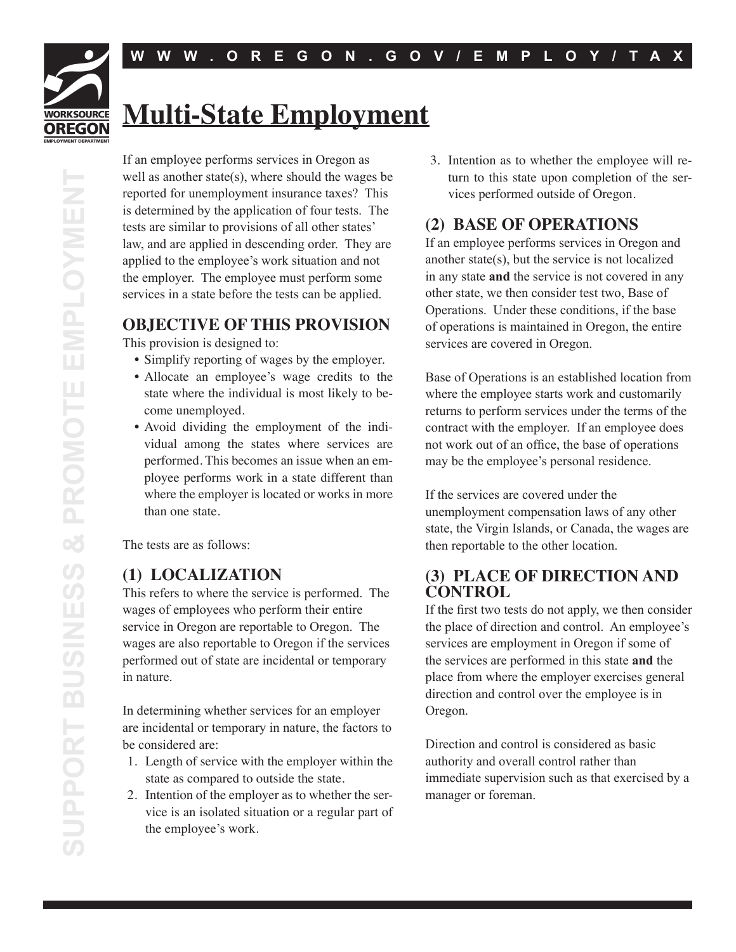# **WORKSOURCE OREGON**

# **Multi-State Employment**

If an employee performs services in Oregon as well as another state(s), where should the wages be reported for unemployment insurance taxes? This is determined by the application of four tests. The tests are similar to provisions of all other states' law, and are applied in descending order. They are applied to the employee's work situation and not the employer. The employee must perform some services in a state before the tests can be applied.

## **OBJECTIVE OF THIS PROVISION**

This provision is designed to:

- Simplify reporting of wages by the employer.
- Allocate an employee's wage credits to the state where the individual is most likely to become unemployed.
- Avoid dividing the employment of the individual among the states where services are performed. This becomes an issue when an employee performs work in a state different than where the employer is located or works in more than one state.

The tests are as follows:

#### **(1) LOCALIZATION**

This refers to where the service is performed. The wages of employees who perform their entire service in Oregon are reportable to Oregon. The wages are also reportable to Oregon if the services performed out of state are incidental or temporary in nature.

In determining whether services for an employer are incidental or temporary in nature, the factors to be considered are:

- 1. Length of service with the employer within the state as compared to outside the state.
- 2. Intention of the employer as to whether the service is an isolated situation or a regular part of the employee's work.

3. Intention as to whether the employee will return to this state upon completion of the services performed outside of Oregon.

## **(2) BASE OF OPERATIONS**

If an employee performs services in Oregon and another state(s), but the service is not localized in any state **and** the service is not covered in any other state, we then consider test two, Base of Operations. Under these conditions, if the base of operations is maintained in Oregon, the entire services are covered in Oregon.

Base of Operations is an established location from where the employee starts work and customarily returns to perform services under the terms of the contract with the employer. If an employee does not work out of an office, the base of operations may be the employee's personal residence.

If the services are covered under the unemployment compensation laws of any other state, the Virgin Islands, or Canada, the wages are then reportable to the other location.

#### **(3) PLACE OF DIRECTION AND CONTROL**

If the first two tests do not apply, we then consider the place of direction and control. An employee's services are employment in Oregon if some of the services are performed in this state **and** the place from where the employer exercises general direction and control over the employee is in Oregon.

Direction and control is considered as basic authority and overall control rather than immediate supervision such as that exercised by a manager or foreman.